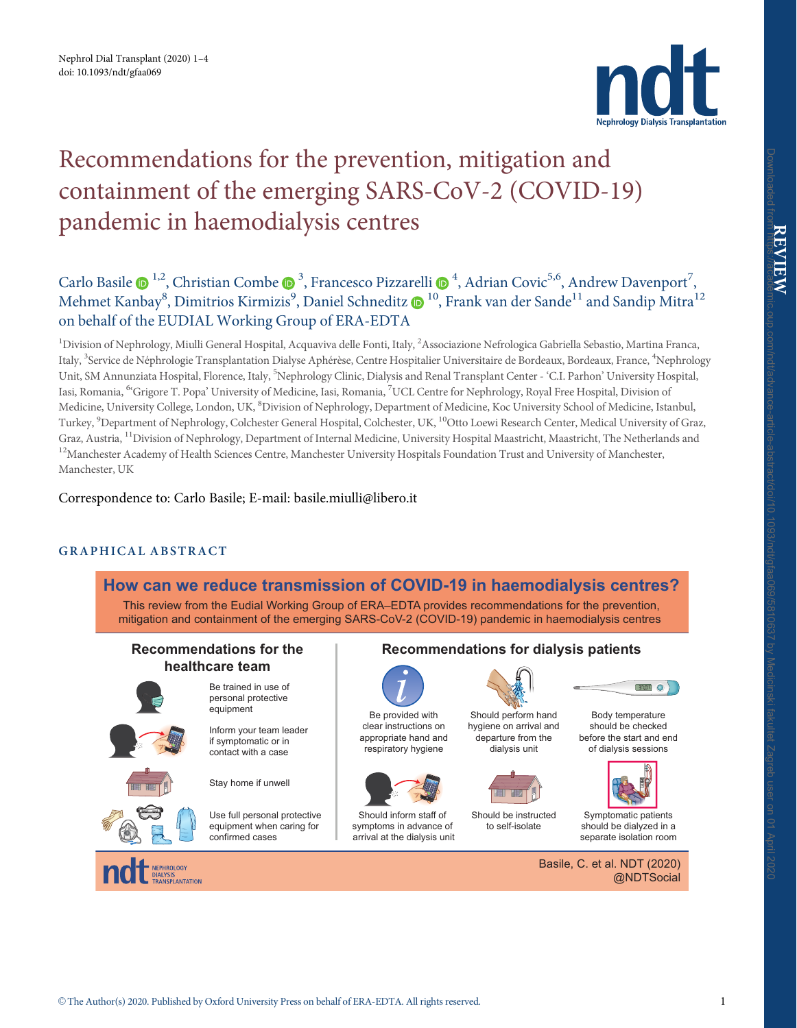

# Recommendations for the prevention, mitigation and containment of the emerging SARS-CoV-2 (COVID-19) pandemic in haemodialysis centres

Carlo Basile  $\bigcirc^{1,2}$ , Christian Combe  $\bigcirc^{3}$ , Francesco Pizzarelli  $\bigcirc^{4}$ , Adrian Covic<sup>5,6</sup>, Andrew Davenport<sup>7</sup>, Mehmet Kanbay<sup>8</sup>, Dimitrios Kirmizis<sup>9</sup>, Daniel Schneditz D<sup>10</sup>, Frank van der Sande<sup>11</sup> and Sandip Mitra<sup>12</sup> on behalf of the EUDIAL Working Group of ERA-EDTA

<sup>1</sup>Division of Nephrology, Miulli General Hospital, Acquaviva delle Fonti, Italy, <sup>2</sup>Associazione Nefrologica Gabriella Sebastio, Martina Franca, Italy, <sup>3</sup>Service de Néphrologie Transplantation Dialyse Aphérèse, Centre Hospitalier Universitaire de Bordeaux, Bordeaux, France, <sup>4</sup>Nephrology Unit, SM Annunziata Hospital, Florence, Italy, <sup>5</sup>Nephrology Clinic, Dialysis and Renal Transplant Center - 'C.I. Parhon' University Hospital, Iasi, Romania, <sup>6</sup>'Grigore T. Popa' University of Medicine, Iasi, Romania, <sup>7</sup>UCL Centre for Nephrology, Royal Free Hospital, Division of Medicine, University College, London, UK, <sup>8</sup>Division of Nephrology, Department of Medicine, Koc University School of Medicine, Istanbul, Turkey, <sup>9</sup>Department of Nephrology, Colchester General Hospital, Colchester, UK, <sup>10</sup>Otto Loewi Research Center, Medical University of Graz, Graz, Austria, 11Division of Nephrology, Department of Internal Medicine, University Hospital Maastricht, Maastricht, The Netherlands and <sup>12</sup>Manchester Academy of Health Sciences Centre, Manchester University Hospitals Foundation Trust and University of Manchester, Manchester, UK

Correspondence to: Carlo Basile; E-mail: basile.miulli@libero.it

# GRAPHICAL ABSTRACT



REVIEW

**REVIEW**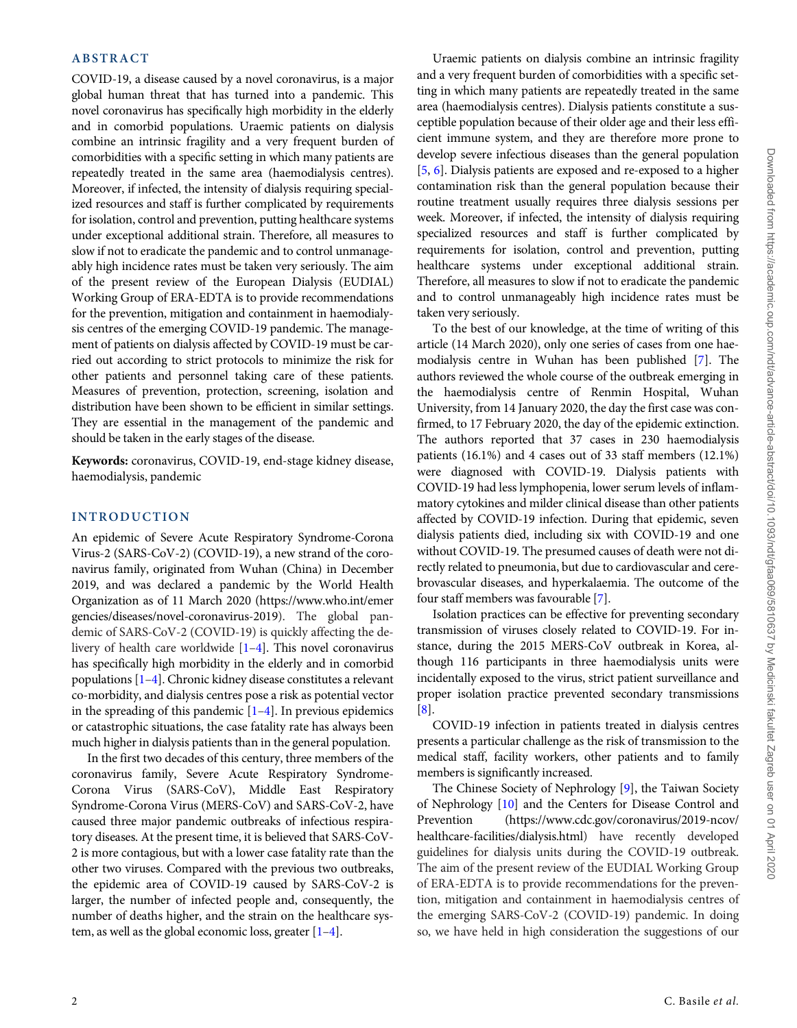#### <span id="page-1-0"></span>ABSTRACT

COVID-19, a disease caused by a novel coronavirus, is a major global human threat that has turned into a pandemic. This novel coronavirus has specifically high morbidity in the elderly and in comorbid populations. Uraemic patients on dialysis combine an intrinsic fragility and a very frequent burden of comorbidities with a specific setting in which many patients are repeatedly treated in the same area (haemodialysis centres). Moreover, if infected, the intensity of dialysis requiring specialized resources and staff is further complicated by requirements for isolation, control and prevention, putting healthcare systems under exceptional additional strain. Therefore, all measures to slow if not to eradicate the pandemic and to control unmanageably high incidence rates must be taken very seriously. The aim of the present review of the European Dialysis (EUDIAL) Working Group of ERA-EDTA is to provide recommendations for the prevention, mitigation and containment in haemodialysis centres of the emerging COVID-19 pandemic. The management of patients on dialysis affected by COVID-19 must be carried out according to strict protocols to minimize the risk for other patients and personnel taking care of these patients. Measures of prevention, protection, screening, isolation and distribution have been shown to be efficient in similar settings. They are essential in the management of the pandemic and should be taken in the early stages of the disease.

Keywords: coronavirus, COVID-19, end-stage kidney disease, haemodialysis, pandemic

# INTRODUCTION

An epidemic of Severe Acute Respiratory Syndrome-Corona Virus-2 (SARS-CoV-2) (COVID-19), a new strand of the coronavirus family, originated from Wuhan (China) in December 2019, and was declared a pandemic by the World Health Organization as of 11 March 2020 ([https://www.who.int/emer](https://www.who.int/emergencies/diseases/novel-coronavirus-2019) [gencies/diseases/novel-coronavirus-2019\)](https://www.who.int/emergencies/diseases/novel-coronavirus-2019). The global pandemic of SARS-CoV-2 (COVID-19) is quickly affecting the delivery of health care worldwide [[1–4](#page-3-0)]. This novel coronavirus has specifically high morbidity in the elderly and in comorbid populations [[1](#page-3-0)–[4](#page-3-0)]. Chronic kidney disease constitutes a relevant co-morbidity, and dialysis centres pose a risk as potential vector in the spreading of this pandemic  $[1-4]$ . In previous epidemics or catastrophic situations, the case fatality rate has always been much higher in dialysis patients than in the general population.

In the first two decades of this century, three members of the coronavirus family, Severe Acute Respiratory Syndrome-Corona Virus (SARS-CoV), Middle East Respiratory Syndrome-Corona Virus (MERS-CoV) and SARS-CoV-2, have caused three major pandemic outbreaks of infectious respiratory diseases. At the present time, it is believed that SARS-CoV-2 is more contagious, but with a lower case fatality rate than the other two viruses. Compared with the previous two outbreaks, the epidemic area of COVID-19 caused by SARS-CoV-2 is larger, the number of infected people and, consequently, the number of deaths higher, and the strain on the healthcare system, as well as the global economic loss, greater [\[1–4\]](#page-3-0).

Uraemic patients on dialysis combine an intrinsic fragility and a very frequent burden of comorbidities with a specific setting in which many patients are repeatedly treated in the same area (haemodialysis centres). Dialysis patients constitute a susceptible population because of their older age and their less efficient immune system, and they are therefore more prone to develop severe infectious diseases than the general population [[5,](#page-3-0) [6](#page-3-0)]. Dialysis patients are exposed and re-exposed to a higher contamination risk than the general population because their routine treatment usually requires three dialysis sessions per week. Moreover, if infected, the intensity of dialysis requiring specialized resources and staff is further complicated by requirements for isolation, control and prevention, putting healthcare systems under exceptional additional strain. Therefore, all measures to slow if not to eradicate the pandemic and to control unmanageably high incidence rates must be taken very seriously.

To the best of our knowledge, at the time of writing of this article (14 March 2020), only one series of cases from one haemodialysis centre in Wuhan has been published [[7](#page-3-0)]. The authors reviewed the whole course of the outbreak emerging in the haemodialysis centre of Renmin Hospital, Wuhan University, from 14 January 2020, the day the first case was confirmed, to 17 February 2020, the day of the epidemic extinction. The authors reported that 37 cases in 230 haemodialysis patients (16.1%) and 4 cases out of 33 staff members (12.1%) were diagnosed with COVID-19. Dialysis patients with COVID-19 had less lymphopenia, lower serum levels of inflammatory cytokines and milder clinical disease than other patients affected by COVID-19 infection. During that epidemic, seven dialysis patients died, including six with COVID-19 and one without COVID-19. The presumed causes of death were not directly related to pneumonia, but due to cardiovascular and cerebrovascular diseases, and hyperkalaemia. The outcome of the four staff members was favourable [\[7\]](#page-3-0).

Isolation practices can be effective for preventing secondary transmission of viruses closely related to COVID-19. For instance, during the 2015 MERS-CoV outbreak in Korea, although 116 participants in three haemodialysis units were incidentally exposed to the virus, strict patient surveillance and proper isolation practice prevented secondary transmissions [[8\]](#page-3-0).

COVID-19 infection in patients treated in dialysis centres presents a particular challenge as the risk of transmission to the medical staff, facility workers, other patients and to family members is significantly increased.

The Chinese Society of Nephrology [[9](#page-3-0)], the Taiwan Society of Nephrology [[10](#page-3-0)] and the Centers for Disease Control and Prevention [\(https://www.cdc.gov/coronavirus/2019-ncov/](https://www.cdc.gov/coronavirus/2019-ncov/healthcare-facilities/dialysis.html) [healthcare-facilities/dialysis.html](https://www.cdc.gov/coronavirus/2019-ncov/healthcare-facilities/dialysis.html)) have recently developed guidelines for dialysis units during the COVID-19 outbreak. The aim of the present review of the EUDIAL Working Group of ERA-EDTA is to provide recommendations for the prevention, mitigation and containment in haemodialysis centres of the emerging SARS-CoV-2 (COVID-19) pandemic. In doing so, we have held in high consideration the suggestions of our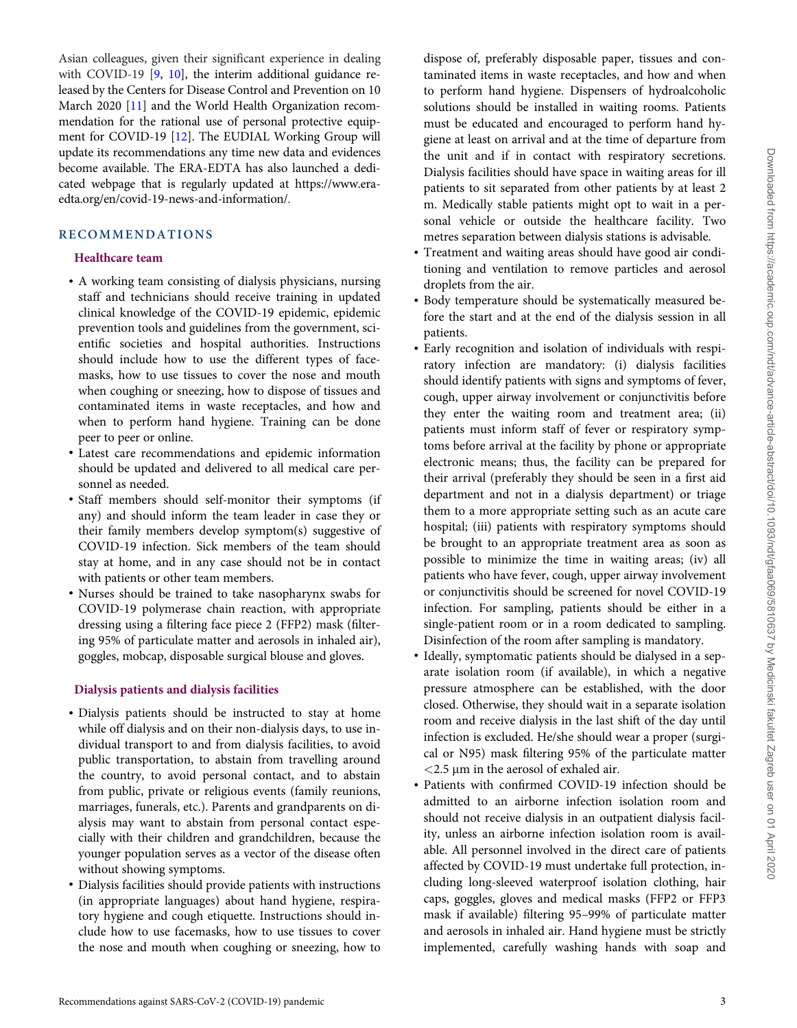<span id="page-2-0"></span>Asian colleagues, given their significant experience in dealing with COVID-19 [\[9](#page-3-0), [10\]](#page-3-0), the interim additional guidance released by the Centers for Disease Control and Prevention on 10 March 2020 [\[11](#page-4-0)] and the World Health Organization recommendation for the rational use of personal protective equipment for COVID-19 [[12\]](#page-4-0). The EUDIAL Working Group will update its recommendations any time new data and evidences become available. The ERA-EDTA has also launched a dedicated webpage that is regularly updated at [https://www.era](https://www.era-edta.org/en/covid-19-news-and-information/)[edta.org/en/covid-19-news-and-information/](https://www.era-edta.org/en/covid-19-news-and-information/).

# RECOMMENDATIONS

#### Healthcare team

- A working team consisting of dialysis physicians, nursing staff and technicians should receive training in updated clinical knowledge of the COVID-19 epidemic, epidemic prevention tools and guidelines from the government, scientific societies and hospital authorities. Instructions should include how to use the different types of facemasks, how to use tissues to cover the nose and mouth when coughing or sneezing, how to dispose of tissues and contaminated items in waste receptacles, and how and when to perform hand hygiene. Training can be done peer to peer or online.
- Latest care recommendations and epidemic information should be updated and delivered to all medical care personnel as needed.
- Staff members should self-monitor their symptoms (if any) and should inform the team leader in case they or their family members develop symptom(s) suggestive of COVID-19 infection. Sick members of the team should stay at home, and in any case should not be in contact with patients or other team members.
- Nurses should be trained to take nasopharynx swabs for COVID-19 polymerase chain reaction, with appropriate dressing using a filtering face piece 2 (FFP2) mask (filtering 95% of particulate matter and aerosols in inhaled air), goggles, mobcap, disposable surgical blouse and gloves.

#### Dialysis patients and dialysis facilities

- Dialysis patients should be instructed to stay at home while off dialysis and on their non-dialysis days, to use individual transport to and from dialysis facilities, to avoid public transportation, to abstain from travelling around the country, to avoid personal contact, and to abstain from public, private or religious events (family reunions, marriages, funerals, etc.). Parents and grandparents on dialysis may want to abstain from personal contact especially with their children and grandchildren, because the younger population serves as a vector of the disease often without showing symptoms.
- Dialysis facilities should provide patients with instructions (in appropriate languages) about hand hygiene, respiratory hygiene and cough etiquette. Instructions should include how to use facemasks, how to use tissues to cover the nose and mouth when coughing or sneezing, how to

dispose of, preferably disposable paper, tissues and contaminated items in waste receptacles, and how and when to perform hand hygiene. Dispensers of hydroalcoholic solutions should be installed in waiting rooms. Patients must be educated and encouraged to perform hand hygiene at least on arrival and at the time of departure from the unit and if in contact with respiratory secretions. Dialysis facilities should have space in waiting areas for ill patients to sit separated from other patients by at least 2 m. Medically stable patients might opt to wait in a personal vehicle or outside the healthcare facility. Two metres separation between dialysis stations is advisable.

- Treatment and waiting areas should have good air conditioning and ventilation to remove particles and aerosol droplets from the air.
- Body temperature should be systematically measured before the start and at the end of the dialysis session in all patients.
- Early recognition and isolation of individuals with respiratory infection are mandatory: (i) dialysis facilities should identify patients with signs and symptoms of fever, cough, upper airway involvement or conjunctivitis before they enter the waiting room and treatment area; (ii) patients must inform staff of fever or respiratory symptoms before arrival at the facility by phone or appropriate electronic means; thus, the facility can be prepared for their arrival (preferably they should be seen in a first aid department and not in a dialysis department) or triage them to a more appropriate setting such as an acute care hospital; (iii) patients with respiratory symptoms should be brought to an appropriate treatment area as soon as possible to minimize the time in waiting areas; (iv) all patients who have fever, cough, upper airway involvement or conjunctivitis should be screened for novel COVID-19 infection. For sampling, patients should be either in a single-patient room or in a room dedicated to sampling. Disinfection of the room after sampling is mandatory.
- Ideally, symptomatic patients should be dialysed in a separate isolation room (if available), in which a negative pressure atmosphere can be established, with the door closed. Otherwise, they should wait in a separate isolation room and receive dialysis in the last shift of the day until infection is excluded. He/she should wear a proper (surgical or N95) mask filtering 95% of the particulate matter  $<$ 2.5 µm in the aerosol of exhaled air.
- Patients with confirmed COVID-19 infection should be admitted to an airborne infection isolation room and should not receive dialysis in an outpatient dialysis facility, unless an airborne infection isolation room is available. All personnel involved in the direct care of patients affected by COVID-19 must undertake full protection, including long-sleeved waterproof isolation clothing, hair caps, goggles, gloves and medical masks (FFP2 or FFP3 mask if available) filtering 95–99% of particulate matter and aerosols in inhaled air. Hand hygiene must be strictly implemented, carefully washing hands with soap and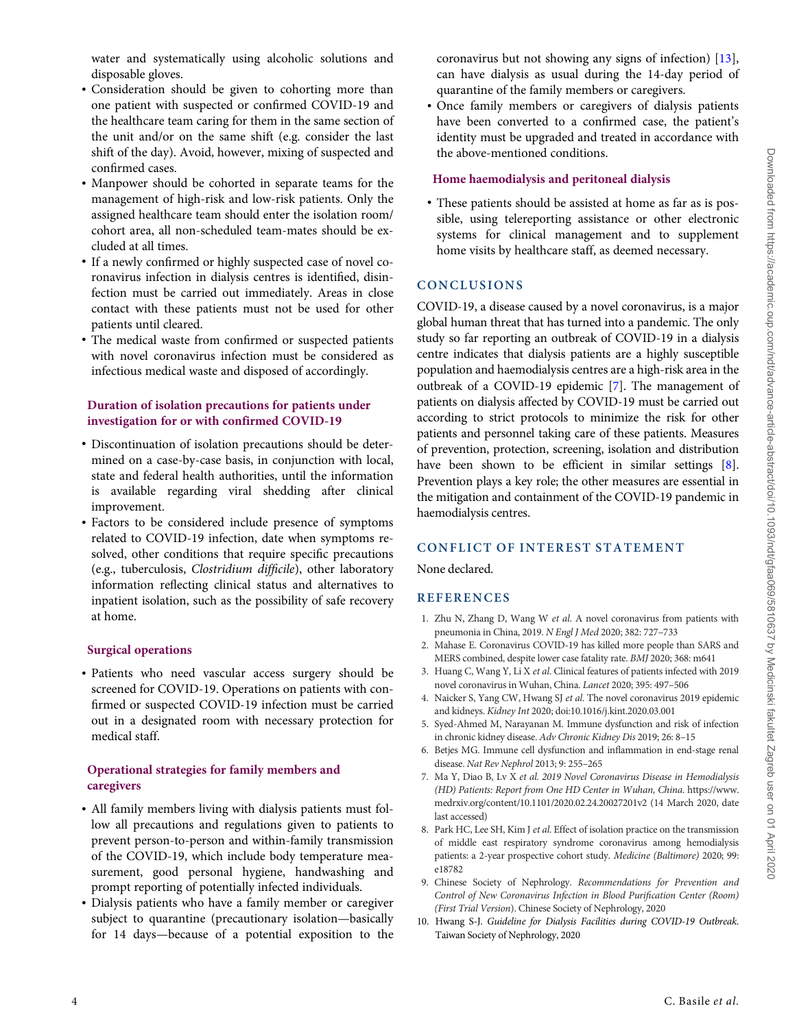<span id="page-3-0"></span>water and systematically using alcoholic solutions and disposable gloves.

- Consideration should be given to cohorting more than one patient with suspected or confirmed COVID-19 and the healthcare team caring for them in the same section of the unit and/or on the same shift (e.g. consider the last shift of the day). Avoid, however, mixing of suspected and confirmed cases.
- Manpower should be cohorted in separate teams for the management of high-risk and low-risk patients. Only the assigned healthcare team should enter the isolation room/ cohort area, all non-scheduled team-mates should be excluded at all times.
- If a newly confirmed or highly suspected case of novel coronavirus infection in dialysis centres is identified, disinfection must be carried out immediately. Areas in close contact with these patients must not be used for other patients until cleared.
- The medical waste from confirmed or suspected patients with novel coronavirus infection must be considered as infectious medical waste and disposed of accordingly.

# Duration of isolation precautions for patients under investigation for or with confirmed COVID-19

- Discontinuation of isolation precautions should be determined on a case-by-case basis, in conjunction with local, state and federal health authorities, until the information is available regarding viral shedding after clinical improvement.
- Factors to be considered include presence of symptoms related to COVID-19 infection, date when symptoms resolved, other conditions that require specific precautions (e.g., tuberculosis, Clostridium difficile), other laboratory information reflecting clinical status and alternatives to inpatient isolation, such as the possibility of safe recovery at home.

#### Surgical operations

• Patients who need vascular access surgery should be screened for COVID-19. Operations on patients with confirmed or suspected COVID-19 infection must be carried out in a designated room with necessary protection for medical staff.

# Operational strategies for family members and caregivers

- All family members living with dialysis patients must follow all precautions and regulations given to patients to prevent person-to-person and within-family transmission of the COVID-19, which include body temperature measurement, good personal hygiene, handwashing and prompt reporting of potentially infected individuals.
- Dialysis patients who have a family member or caregiver subject to quarantine (precautionary isolation—basically for 14 days—because of a potential exposition to the

coronavirus but not showing any signs of infection) [[13](#page-4-0)], can have dialysis as usual during the 14-day period of quarantine of the family members or caregivers.

• Once family members or caregivers of dialysis patients have been converted to a confirmed case, the patient's identity must be upgraded and treated in accordance with the above-mentioned conditions.

#### Home haemodialysis and peritoneal dialysis

• These patients should be assisted at home as far as is possible, using telereporting assistance or other electronic systems for clinical management and to supplement home visits by healthcare staff, as deemed necessary.

# CONCLUSIONS

COVID-19, a disease caused by a novel coronavirus, is a major global human threat that has turned into a pandemic. The only study so far reporting an outbreak of COVID-19 in a dialysis centre indicates that dialysis patients are a highly susceptible population and haemodialysis centres are a high-risk area in the outbreak of a COVID-19 epidemic [7]. The management of patients on dialysis affected by COVID-19 must be carried out according to strict protocols to minimize the risk for other patients and personnel taking care of these patients. Measures of prevention, protection, screening, isolation and distribution have been shown to be efficient in similar settings [8]. Prevention plays a key role; the other measures are essential in the mitigation and containment of the COVID-19 pandemic in haemodialysis centres.

# CONFLICT OF INTEREST STATEMENT

None declared.

#### REFERENCES

- 1. Zhu N, Zhang D, Wang W et al. A novel coronavirus from patients with pneumonia in China, 2019. N Engl J Med 2020; 382: 727–733
- 2. Mahase E. Coronavirus COVID-19 has killed more people than SARS and MERS combined, despite lower case fatality rate. BMJ 2020; 368: m641
- 3. Huang C, Wang Y, Li X et al. Clinical features of patients infected with 2019 novel coronavirus in Wuhan, China. Lancet 2020; 395: 497–506
- 4. Naicker S, Yang CW, Hwang SJ et al. The novel coronavirus 2019 epidemic and kidneys. Kidney Int 2020; doi:10.1016/j.kint.2020.03.001
- [5.](#page-1-0) Syed-Ahmed M, Narayanan M. Immune dysfunction and risk of infection in chronic kidney disease. Adv Chronic Kidney Dis 2019; 26: 8–15
- [6.](#page-1-0) Betjes MG. Immune cell dysfunction and inflammation in end-stage renal disease. Nat Rev Nephrol 2013; 9: 255–265
- [7.](#page-1-0) Ma Y, Diao B, Lv X et al. 2019 Novel Coronavirus Disease in Hemodialysis (HD) Patients: Report from One HD Center in Wuhan, China. [https://www.](https://www.medrxiv.org/content/10.1101/2020.02.24.20027201v2) [medrxiv.org/content/10.1101/2020.02.24.20027201v2](https://www.medrxiv.org/content/10.1101/2020.02.24.20027201v2) (14 March 2020, date last accessed)
- [8.](#page-1-0) Park HC, Lee SH, Kim J et al. Effect of isolation practice on the transmission of middle east respiratory syndrome coronavirus among hemodialysis patients: a 2-year prospective cohort study. Medicine (Baltimore) 2020; 99: e18782
- [9.](#page-1-0) Chinese Society of Nephrology. Recommendations for Prevention and Control of New Coronavirus Infection in Blood Purification Center (Room) (First Trial Version). Chinese Society of Nephrology, 2020
- [10](#page-1-0). Hwang S-J. Guideline for Dialysis Facilities during COVID-19 Outbreak. Taiwan Society of Nephrology, 2020